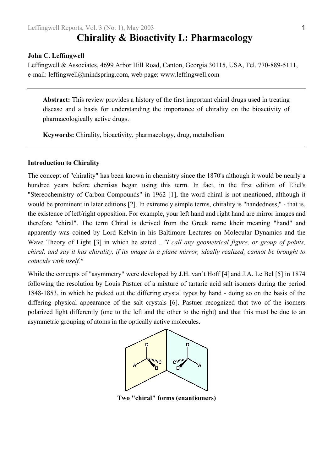# **Chirality & Bioactivity I.: Pharmacology**

#### **John C. Leffingwell**

Leffingwell & Associates, 4699 Arbor Hill Road, Canton, Georgia 30115, USA, Tel. 770-889-5111, e-mail: leffingwell@mindspring.com, web page: www.leffingwell.com

**Abstract:** This review provides a history of the first important chiral drugs used in treating disease and a basis for understanding the importance of chirality on the bioactivity of pharmacologically active drugs.

**Keywords:** Chirality, bioactivity, pharmacology, drug, metabolism

# **Introduction to Chirality**

The concept of "chirality" has been known in chemistry since the 1870's although it would be nearly a hundred years before chemists began using this term. In fact, in the first edition of Eliel's "Stereochemistry of Carbon Compounds" in 1962 [[1\]](#page-26-0), the word chiral is not mentioned, although it would be prominent in later editions [\[2\]](#page-26-1). In extremely simple terms, chirality is "handedness," - that is, the existence of left/right opposition. For example, your left hand and right hand are mirror images and therefore "chiral". The term Chiral is derived from the Greek name kheir meaning "hand" and apparently was coined by Lord Kelvin in his Baltimore Lectures on Molecular Dynamics and the Wave Theory of Light [[3\]](#page-26-2) in which he stated ...*"I call any geometrical figure, or group of points, chiral, and say it has chirality, if its image in a plane mirror, ideally realized, cannot be brought to coincide with itself."* 

While the concepts of "asymmetry" were developed by J.H. van't Hoff [[4\]](#page-26-3) and J.A. Le Bel [[5\]](#page-26-3) in 1874 following the resolution by Louis Pastuer of a mixture of tartaric acid salt isomers during the period 1848-1853, in which he picked out the differing crystal types by hand - doing so on the basis of the differing physical appearance of the salt crystals [[6\]](#page-26-4). Pastuer recognized that two of the isomers polarized light differently (one to the left and the other to the right) and that this must be due to an asymmetric grouping of atoms in the optically active molecules.



**Two "chiral" forms (enantiomers)**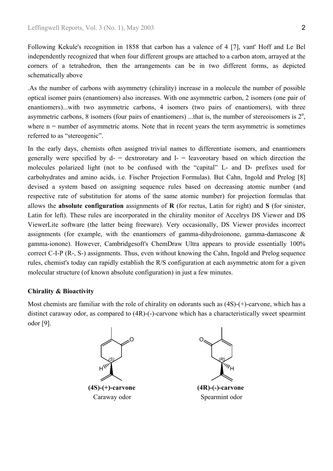Following Kekule's recognition in 1858 that carbon has a valence of 4 [\[7\]](#page-26-5), vant' Hoff and Le Bel independently recognized that when four different groups are attached to a carbon atom, arrayed at the corners of a tetrahedron, then the arrangements can be in two different forms, as depicted schematically above

.As the number of carbons with asymmetry (chirality) increase in a molecule the number of possible optical isomer pairs (enantiomers) also increases. With one asymmetric carbon, 2 isomers (one pair of enantiomers)...with two asymmetric carbons, 4 isomers (two pairs of enantiomers), with three asymmetric carbons, 8 isomers (four pairs of enantiomers) ...that is, the number of stereoisomers is  $2<sup>n</sup>$ , where  $n =$  number of asymmetric atoms. Note that in recent years the term asymmetric is sometimes referred to as "stereogenic".

In the early days, chemists often assigned trivial names to differentiate isomers, and enantiomers generally were specified by  $d-$  = dextrorotary and  $l-$  = leavorotary based on which direction the molecules polarized light (not to be confused with the "capital" L- and D- prefixes used for carbohydrates and amino acids, i.e. Fischer Projection Formulas). But Cahn, Ingold and Prelog [[8\]](#page-26-6) devised a system based on assigning sequence rules based on decreasing atomic number (and respective rate of substitution for atoms of the same atomic number) for projection formulas that allows the **absolute configuration** assignments of **R** (for rectus, Latin for right) and **S** (for sinister, Latin for left). These rules are incorporated in the chirality monitor of Accelrys DS Viewer and DS ViewerLite software (the latter being freeware). Very occasionally, DS Viewer provides incorrect assignments (for example, with the enantiomers of gamma-dihydroionone, gamma-damascone & gamma-ionone). However, Cambridgesoft's ChemDraw Ultra appears to provide essentially 100% correct C-I-P (R-, S-) assignments. Thus, even without knowing the Cahn, Ingold and Prelog sequence rules, chemist's today can rapidly establish the R/S configuration at each asymmetric atom for a given molecular structure (of known absolute configuration) in just a few minutes.

#### **Chirality & Bioactivity**

Most chemists are familiar with the role of chirality on odorants such as (4S)-(+)-carvone, which has a distinct caraway odor, as compared to (4R)-(-)-carvone which has a characteristically sweet spearmint odor [[9\]](#page-26-7).



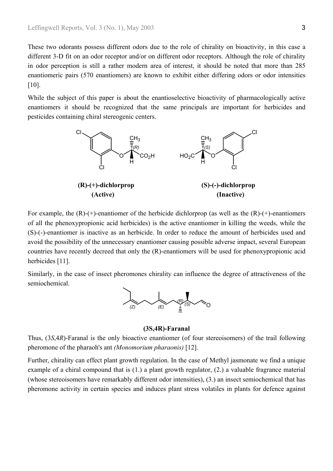These two odorants possess different odors due to the role of chirality on bioactivity, in this case a different 3-D fit on an odor receptor and/or on different odor receptors. Although the role of chirality in odor perception is still a rather modern area of interest, it should be noted that more than 285 enantiomeric pairs (570 enantiomers) are known to exhibit either differing odors or odor intensities [\[10\]](#page-26-8).

While the subject of this paper is about the enantioselective bioactivity of pharmacologically active enantiomers it should be recognized that the same principals are important for herbicides and pesticides containing chiral stereogenic centers.



For example, the  $(R)-(+)$ -enantiomer of the herbicide dichlorprop (as well as the  $(R)-(+)$ -enantiomers of all the phenoxypropionic acid herbicides) is the active enantiomer in killing the weeds, while the (S)-(-)-enantiomer is inactive as an herbicide. In order to reduce the amount of herbicides used and avoid the possibility of the unnecessary enantiomer causing possible adverse impact, several European countries have recently decreed that only the (R)-enantiomers will be used for phenoxypropionic acid herbicides [[11\]](#page-26-9).

Similarly, in the case of insect pheromones chirality can influence the degree of attractiveness of the semiochemical.



# **(3S,4R)-Faranal**

Thus, (3*S*,4*R*)-Faranal is the only bioactive enantiomer (of four stereoisomers) of the trail following pheromone of the pharaoh's ant *(Monomorium pharaonis)* [\[12\]](#page-26-10).

Further, chirality can effect plant growth regulation. In the case of Methyl jasmonate we find a unique example of a chiral compound that is (1.) a plant growth regulator, (2.) a valuable fragrance material (whose stereoisomers have remarkably different odor intensities), (3.) an insect semiochemical that has pheromone activity in certain species and induces plant stress volatiles in plants for defence against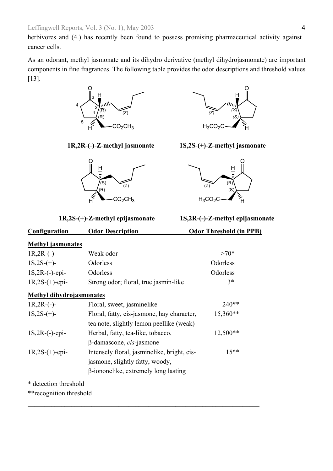herbivores and (4.) has recently been found to possess promising pharmaceutical activity against cancer cells.

As an odorant, methyl jasmonate and its dihydro derivative (methyl dihydrojasmonate) are important components in fine fragrances. The following table provides the odor descriptions and threshold values [\[13\]](#page-26-11).







**1R,2R-(-)-Z-methyl jasmonate 1S,2S-(+)-Z-methyl jasmonate** 



**1R,2S-(+)-Z-methyl epijasmonate 1S,2R-(-)-Z-methyl epijasmonate** 

# **Configuration Odor Description Odor Threshold (in PPB)**

| <b>Methyl jasmonates</b>        |                                             |            |
|---------------------------------|---------------------------------------------|------------|
| $1R, 2R$ - $(-)$ -              | Weak odor                                   | $>70*$     |
| $1S,2S-(+)$ -                   | Odorless                                    | Odorless   |
| $1S, 2R$ - $(-)$ -epi-          | Odorless                                    | Odorless   |
| $1R,2S-(+)$ -epi-               | Strong odor; floral, true jasmin-like       | $3*$       |
| <b>Methyl dihydrojasmonates</b> |                                             |            |
| $1R, 2R$ - $(-)$ -              | Floral, sweet, jasminelike                  | $240**$    |
| $1S,2S-(+)$ -                   | Floral, fatty, cis-jasmone, hay character,  | 15,360**   |
|                                 | tea note, slightly lemon peellike (weak)    |            |
| $1S, 2R$ - $(-)$ -epi-          | Herbal, fatty, tea-like, tobacco,           | $12,500**$ |
|                                 | $\beta$ -damascone, <i>cis</i> -jasmone     |            |
| $1R,2S-(+)$ -epi-               | Intensely floral, jasminelike, bright, cis- | $15**$     |
|                                 | jasmone, slightly fatty, woody,             |            |
|                                 | $\beta$ -iononelike, extremely long lasting |            |

**\_\_\_\_\_\_\_\_\_\_\_\_\_\_\_\_\_\_\_\_\_\_\_\_\_\_\_\_\_\_\_\_\_\_\_\_\_\_\_\_\_\_\_\_\_\_\_\_\_\_\_\_\_\_\_\_\_\_\_\_\_\_\_\_\_\_\_\_\_** 

\* detection threshold

\*\*recognition threshold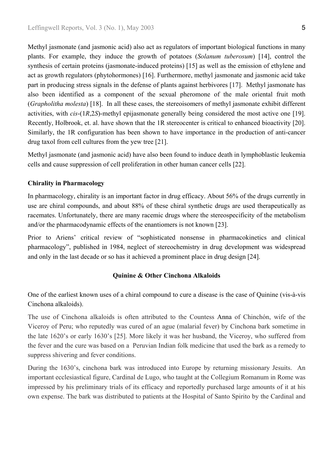Methyl jasmonate (and jasmonic acid) also act as regulators of important biological functions in many plants. For example, they induce the growth of potatoes (*Solanum tuberosum*) [[14\]](#page-26-12), control the synthesis of certain proteins (jasmonate-induced proteins) [[15\]](#page-26-13) as well as the emission of ethylene and act as growth regulators (phytohormones) [[16\]](#page-26-14). Furthermore, methyl jasmonate and jasmonic acid take part in producing stress signals in the defense of plants against herbivores [\[17\]](#page-26-8). Methyl jasmonate has also been identified as a component of the sexual pheromone of the male oriental fruit moth (*Grapholitha molesta*) [\[18\]](#page-26-15). In all these cases, the stereoisomers of methyl jasmonate exhibit different activities, with *cis*-(1*R*,2*S*)-methyl epijasmonate generally being considered the most active one [[19\]](#page-26-16). Recently, Holbrook, et. al. have shown that the 1R stereocenter is critical to enhanced bioactivity [[20\]](#page-26-17). Similarly, the 1R configuration has been shown to have importance in the production of anti-cancer drug taxol from cell cultures from the yew tree [\[21\]](#page-26-18).

Methyl jasmonate (and jasmonic acid) have also been found to induce death in lymphoblastic leukemia cells and cause suppression of cell proliferation in other human cancer cells [\[22\]](#page-26-19).

# **Chirality in Pharmacology**

In pharmacology, chirality is an important factor in drug efficacy. About 56% of the drugs currently in use are chiral compounds, and about 88% of these chiral synthetic drugs are used therapeutically as racemates. Unfortunately, there are many racemic drugs where the stereospecificity of the metabolism and/or the pharmacodynamic effects of the enantiomers is not known [[23\]](#page-26-20).

Prior to Ariens' critical review of "sophisticated nonsense in pharmacokinetics and clinical pharmacology", published in 1984, neglect of stereochemistry in drug development was widespread and only in the last decade or so has it achieved a prominent place in drug design [\[24\]](#page-26-21).

## **Quinine & Other Cinchona Alkaloids**

One of the earliest known uses of a chiral compound to cure a disease is the case of Quinine (vis-à-vis Cinchona alkaloids).

The use of Cinchona alkaloids is often attributed to the Countess Anna of Chinchón, wife of the Viceroy of Peru; who reputedly was cured of an ague (malarial fever) by Cinchona bark sometime in the late 1620's or early 1630's [\[25\]](#page-26-22). More likely it was her husband, the Viceroy, who suffered from the fever and the cure was based on a Peruvian Indian folk medicine that used the bark as a remedy to suppress shivering and fever conditions.

During the 1630's, cinchona bark was introduced into Europe by returning missionary Jesuits. An important ecclesiastical figure, Cardinal de Lugo, who taught at the Collegium Romanum in Rome was impressed by his preliminary trials of its efficacy and reportedly purchased large amounts of it at his own expense. The bark was distributed to patients at the Hospital of Santo Spirito by the Cardinal and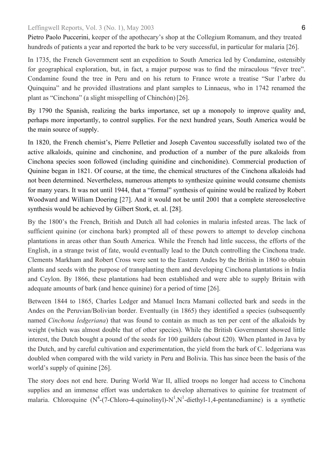Pietro Paolo Puccerini, keeper of the apothecary's shop at the Collegium Romanum, and they treated hundreds of patients a year and reported the bark to be very successful, in particular for malaria [\[26\]](#page-26-5).

In 1735, the French Government sent an expedition to South America led by Condamine, ostensibly for geographical exploration, but, in fact, a major purpose was to find the miraculous "fever tree". Condamine found the tree in Peru and on his return to France wrote a treatise "Sur l'arbre du Quinquina" and he provided illustrations and plant samples to Linnaeus, who in 1742 renamed the plant as "Cinchona" (a slight misspelling of Chinchón)[26].

By 1790 the Spanish, realizing the barks importance, set up a monopoly to improve quality and, perhaps more importantly, to control supplies. For the next hundred years, South America would be the main source of supply.

In 1820, the French chemist's, Pierre Pelletier and Joseph Caventou successfully isolated two of the active alkaloids, quinine and cinchonine, and production of a number of the pure alkaloids from Cinchona species soon followed (including quinidine and cinchonidine). Commercial production of Quinine began in 1821. Of course, at the time, the chemical structures of the Cinchona alkaloids had not been determined. Nevertheless, numerous attempts to synthesize quinine would consume chemists for many years. It was not until 1944, that a "formal" synthesis of quinine would be realized by Robert Woodward and William Doering [[27\]](#page-26-23). And it would not be until 2001 that a complete stereoselective synthesis would be achieved by Gilbert Stork, et. al. [\[28\]](#page-26-24).

By the 1800's the French, British and Dutch all had colonies in malaria infested areas. The lack of sufficient quinine (or cinchona bark) prompted all of these powers to attempt to develop cinchona plantations in areas other than South America. While the French had little success, the efforts of the English, in a strange twist of fate, would eventually lead to the Dutch controlling the Cinchona trade. Clements Markham and Robert Cross were sent to the Eastern Andes by the British in 1860 to obtain plants and seeds with the purpose of transplanting them and developing Cinchona plantations in India and Ceylon. By 1866, these plantations had been established and were able to supply Britain with adequate amounts of bark (and hence quinine) for a period of time [26].

Between 1844 to 1865, Charles Ledger and Manuel Incra Mamani collected bark and seeds in the Andes on the Peruvian/Bolivian border. Eventually (in 1865) they identified a species (subsequently named *Cinchona ledgeriana*) that was found to contain as much as ten per cent of the alkaloids by weight (which was almost double that of other species). While the British Government showed little interest, the Dutch bought a pound of the seeds for 100 guilders (about £20). When planted in Java by the Dutch, and by careful cultivation and experimentation, the yield from the bark of C. ledgeriana was doubled when compared with the wild variety in Peru and Bolivia. This has since been the basis of the world's supply of quinine [26].

The story does not end here. During World War II, allied troops no longer had access to Cinchona supplies and an immense effort was undertaken to develop alternatives to quinine for treatment of malaria. Chloroquine (N<sup>4</sup>-(7-Chloro-4-quinolinyl)-N<sup>1</sup>,N<sup>1</sup>-diethyl-1,4-pentanediamine) is a synthetic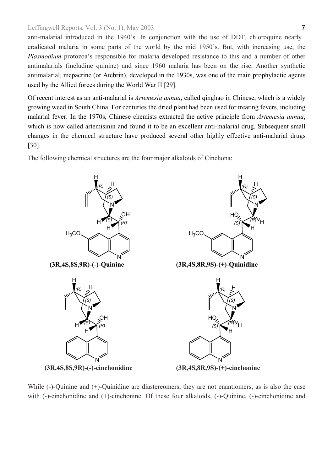anti-malarial introduced in the 1940's. In conjunction with the use of DDT, chloroquine nearly eradicated malaria in some parts of the world by the mid 1950's. But, with increasing use, the *Plasmodium* protozoa's responsible for malaria developed resistance to this and a number of other antimalarials (includine quinine) and since 1960 malaria has been on the rise. Another synthetic antimalarial, mepacrine (or Atebrin), developed in the 1930s, was one of the main prophylactic agents used by the Allied forces during the World War II [[29\]](#page-26-8).

Of recent interest as an anti-malarial is *Artemesia annua*, called qinghao in Chinese, which is a widely growing weed in South China. For centuries the dried plant had been used for treating fevers, including malarial fever. In the 1970s, Chinese chemists extracted the active principle from *Artemesia annua*, which is now called artemisinin and found it to be an excellent anti-malarial drug. Subsequent small changes in the chemical structure have produced several other highly effective anti-malarial drugs [\[30\]](#page-26-25).

The following chemical structures are the four major alkaloids of Cinchona:



While (-)-Quinine and (+)-Quinidine are diastereomers, they are not enantiomers, as is also the case with (-)-cinchonidine and (+)-cinchonine. Of these four alkaloids, (-)-Quinine, (-)-cinchonidine and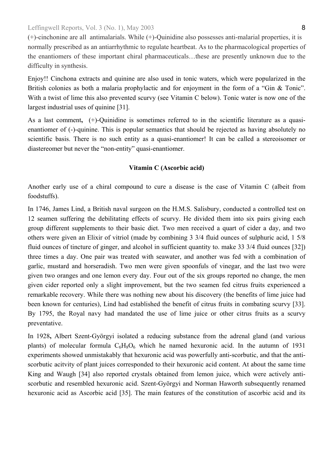(+)-cinchonine are all antimalarials. While (+)-Quinidine also possesses anti-malarial properties, it is normally prescribed as an antiarrhythmic to regulate heartbeat. As to the pharmacological properties of the enantiomers of these important chiral pharmaceuticals…these are presently unknown due to the difficulty in synthesis.

Enjoy!! Cinchona extracts and quinine are also used in tonic waters, which were popularized in the British colonies as both a malaria prophylactic and for enjoyment in the form of a "Gin & Tonic". With a twist of lime this also prevented scurvy (see Vitamin C below). Tonic water is now one of the largest industrial uses of quinine [\[31\]](#page-26-26).

As a last comment**,** (+)-Quinidine is sometimes referred to in the scientific literature as a quasienantiomer of (-)-quinine. This is popular semantics that should be rejected as having absolutely no scientific basis. There is no such entity as a quasi-enantiomer! It can be called a stereoisomer or diastereomer but never the "non-entity" quasi-enantiomer.

# **Vitamin C (Ascorbic acid)**

Another early use of a chiral compound to cure a disease is the case of Vitamin C (albeit from foodstuffs).

In 1746, James Lind, a British naval surgeon on the H.M.S. Salisbury, conducted a controlled test on 12 seamen suffering the debilitating effects of scurvy. He divided them into six pairs giving each group different supplements to their basic diet. Two men received a quart of cider a day, and two others were given an Elixir of vitriol (made by combining 3 3/4 fluid ounces of sulphuric acid, 1 5/8 fluid ounces of tincture of ginger, and alcohol in sufficient quantity to. make 33 3/4 fluid ounces [[32\]](#page-26-27)) three times a day. One pair was treated with seawater, and another was fed with a combination of garlic, mustard and horseradish. Two men were given spoonfuls of vinegar, and the last two were given two oranges and one lemon every day. Four out of the six groups reported no change, the men given cider reported only a slight improvement, but the two seamen fed citrus fruits experienced a remarkable recovery. While there was nothing new about his discovery (the benefits of lime juice had been known for centuries), Lind had established the benefit of citrus fruits in combating scurvy [[33\]](#page-26-28). By 1795, the Royal navy had mandated the use of lime juice or other citrus fruits as a scurvy preventative.

In 1928**,** Albert Szent-Györgyi isolated a reducing substance from the adrenal gland (and various plants) of molecular formula  $C_6H_8O_6$  which he named hexuronic acid. In the autumn of 1931 experiments showed unmistakably that hexuronic acid was powerfully anti-scorbutic, and that the antiscorbutic acitvity of plant juices corresponded to their hexuronic acid content. At about the same time King and Waugh [[34\]](#page-26-29) also reported crystals obtained from lemon juice, which were actively antiscorbutic and resembled hexuronic acid. Szent-Györgyi and Norman Haworth subsequently renamed hexuronic acid as Ascorbic acid [[35\]](#page-26-30). The main features of the constitution of ascorbic acid and its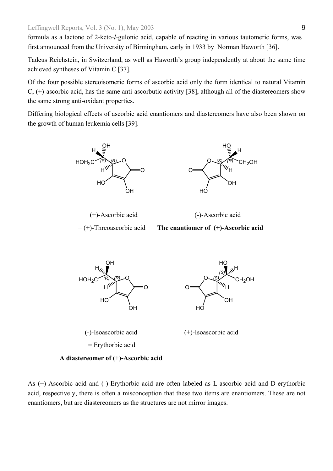formula as a lactone of 2-keto*-l-*gulonic acid, capable of reacting in various tautomeric forms, was first announced from the University of Birmingham, early in 1933 by Norman Haworth [[36\]](#page-26-5).

Tadeus Reichstein, in Switzerland, as well as Haworth's group independently at about the same time achieved syntheses of Vitamin C [[37\]](#page-26-31).

Of the four possible stereoisomeric forms of ascorbic acid only the form identical to natural Vitamin C, (+)-ascorbic acid, has the same anti-ascorbutic activity [\[38\]](#page-26-32), although all of the diastereomers show the same strong anti-oxidant properties.

Differing biological effects of ascorbic acid enantiomers and diastereomers have also been shown on the growth of human leukemia cells [[39\]](#page-26-33).



**A diastereomer of (+)-Ascorbic acid** 

As (+)-Ascorbic acid and (-)-Erythorbic acid are often labeled as L-ascorbic acid and D-erythorbic acid, respectively, there is often a misconception that these two items are enantiomers. These are not enantiomers, but are diastereomers as the structures are not mirror images.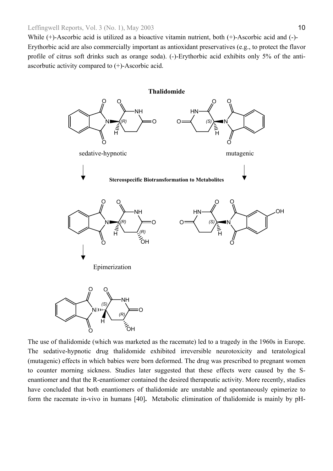While (+)-Ascorbic acid is utilized as a bioactive vitamin nutrient, both (+)-Ascorbic acid and (-)- Erythorbic acid are also commercially important as antioxidant preservatives (e.g., to protect the flavor profile of citrus soft drinks such as orange soda). (-)-Erythorbic acid exhibits only 5% of the antiascorbutic activity compared to (+)-Ascorbic acid.



The use of thalidomide (which was marketed as the racemate) led to a tragedy in the 1960s in Europe. The sedative-hypnotic drug thalidomide exhibited irreversible neurotoxicity and teratological (mutagenic) effects in which babies were born deformed. The drug was prescribed to pregnant women to counter morning sickness. Studies later suggested that these effects were caused by the Senantiomer and that the R-enantiomer contained the desired therapeutic activity. More recently, studies have concluded that both enantiomers of thalidomide are unstable and spontaneously epimerize to form the racemate in-vivo in humans [\[40\]](#page-26-34)**.** Metabolic elimination of thalidomide is mainly by pH-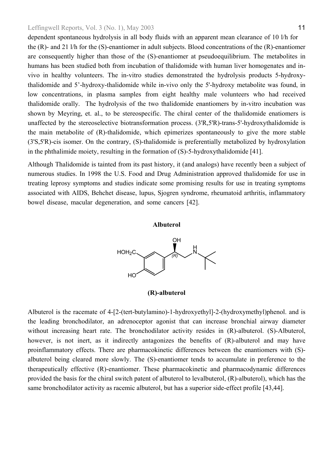dependent spontaneous hydrolysis in all body fluids with an apparent mean clearance of 10 l/h for the (R)- and 21 l/h for the (S)-enantiomer in adult subjects. Blood concentrations of the (R)-enantiomer are consequently higher than those of the (S)-enantiomer at pseudoequilibrium. The metabolites in humans has been studied both from incubation of thalidomide with human liver homogenates and invivo in healthy volunteers. The in-vitro studies demonstrated the hydrolysis products 5-hydroxythalidomide and 5'-hydroxy-thalidomide while in-vivo only the 5'-hydroxy metabolite was found, in low concentrations, in plasma samples from eight healthy male volunteers who had received thalidomide orally. The hydrolysis of the two thalidomide enantiomers by in-vitro incubation was shown by Meyring, et. al., to be stereospecific. The chiral center of the thalidomide enatiomers is unaffected by the stereoselective biotransformation process. (3'R,5'R)-trans-5'-hydroxythalidomide is the main metabolite of (R)-thalidomide, which epimerizes spontaneously to give the more stable (3'S,5'R)-cis isomer. On the contrary, (S)-thalidomide is preferentially metabolized by hydroxylation in the phthalimide moiety, resulting in the formation of (S)-5-hydroxythalidomide [[41\]](#page-26-35).

Although Thalidomide is tainted from its past history, it (and analogs) have recently been a subject of numerous studies. In 1998 the U.S. Food and Drug Administration approved thalidomide for use in treating leprosy symptoms and studies indicate some promising results for use in treating symptoms associated with AIDS, Behchet disease, lupus, Sjogren syndrome, rheumatoid arthritis, inflammatory bowel disease, macular degeneration, and some cancers [[42\]](#page-26-36).

#### **Albuterol**



**(R)-albuterol** 

Albuterol is the racemate of 4-[2-(tert-butylamino)-1-hydroxyethyl]-2-(hydroxymethyl)phenol. and is the leading bronchodilator, an adrenoceptor agonist that can increase bronchial airway diameter without increasing heart rate. The bronchodilator activity resides in  $(R)$ -albuterol. (S)-Albuterol, however, is not inert, as it indirectly antagonizes the benefits of  $(R)$ -albuterol and may have proinflammatory effects. There are pharmacokinetic differences between the enantiomers with (S) albuterol being cleared more slowly. The (S)-enantiomer tends to accumulate in preference to the therapeutically effective (R)-enantiomer. These pharmacokinetic and pharmacodynamic differences provided the basis for the chiral switch patent of albuterol to levalbuterol, (R)-albuterol), which has the same bronchodilator activity as racemic albuterol, but has a superior side-effect profile [\[43,44\]](#page-26-37).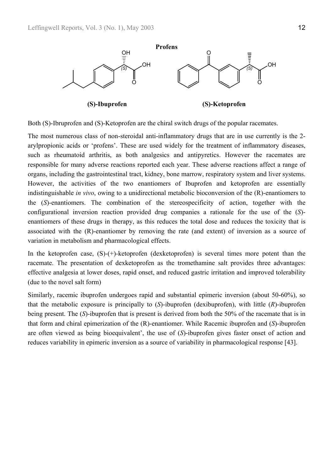

Both (S)-Ibruprofen and (S)-Ketoprofen are the chiral switch drugs of the popular racemates.

The most numerous class of non-steroidal anti-inflammatory drugs that are in use currently is the 2 arylpropionic acids or 'profens'. These are used widely for the treatment of inflammatory diseases, such as rheumatoid arthritis, as both analgesics and antipyretics. However the racemates are responsible for many adverse reactions reported each year. These adverse reactions affect a range of organs, including the gastrointestinal tract, kidney, bone marrow, respiratory system and liver systems. However, the activities of the two enantiomers of Ibuprofen and ketoprofen are essentially indistinguishable *in vivo*, owing to a unidirectional metabolic bioconversion of the (R)-enantiomers to the (*S*)-enantiomers. The combination of the stereospecificity of action, together with the configurational inversion reaction provided drug companies a rationale for the use of the (*S*) enantiomers of these drugs in therapy, as this reduces the total dose and reduces the toxicity that is associated with the (R)-enantiomer by removing the rate (and extent) of inversion as a source of variation in metabolism and pharmacological effects.

In the ketoprofen case,  $(S)-(+)$ -ketoprofen (dexketoprofen) is several times more potent than the racemate. The presentation of dexketoprofen as the tromethamine salt provides three advantages: effective analgesia at lower doses, rapid onset, and reduced gastric irritation and improved tolerability (due to the novel salt form)

Similarly, racemic ibuprofen undergoes rapid and substantial epimeric inversion (about 50-60%), so that the metabolic exposure is principally to (*S*)-ibuprofen (dexibuprofen), with little (*R*)-ibuprofen being present. The (*S*)-ibuprofen that is present is derived from both the 50% of the racemate that is in that form and chiral epimerization of the (R)-enantiomer. While Racemic ibuprofen and (*S*)-ibuprofen are often viewed as being bioequivalent', the use of (*S*)-ibuprofen gives faster onset of action and reduces variability in epimeric inversion as a source of variability in pharmacological response [43].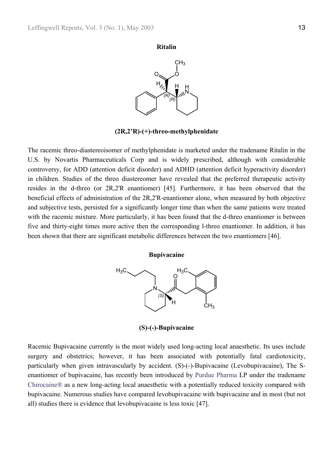



**(2R,2'R)-(+)-threo-methylphenidate** 

The racemic threo-diastereoisomer of methylphenidate is marketed under the tradename Ritalin in the U.S. by Novartis Pharmaceuticals Corp and is widely prescribed, although with considerable controversy, for ADD (attention deficit disorder) and ADHD (attention deficit hyperactivity disorder) in children. Studies of the threo diastereomer have revealed that the preferred therapeutic activity resides in the d-threo (or 2R,2'R enantiomer) [\[45\]](#page-26-38). Furthermore, it has been observed that the beneficial effects of administration of the 2R,2'R-enantiomer alone, when measured by both objective and subjective tests, persisted for a significantly longer time than when the same patients were treated with the racemic mixture. More particularly, it has been found that the d-threo enantiomer is between five and thirty-eight times more active then the corresponding l-threo enantiomer. In addition, it has been shown that there are significant metabolic differences between the two enantiomers [\[46\]](#page-26-39).

#### **Bupivacaine**



**(S)-(-)-Bupivacaine** 

Racemic Bupivacaine currently is the most widely used long-acting local anaesthetic. Its uses include surgery and obstetrics; however, it has been associated with potentially fatal cardiotoxicity, particularly when given intravascularly by accident. (S)-(-)-Bupivacaine (Levobupivacaine), The Senantiomer of bupivacaine, has recently been introduced by Purdue Pharma LP under the tradename Chirocaine® as a new long-acting local anaesthetic with a potentially reduced toxicity compared with bupivacaine. Numerous studies have compared levobupivacaine with bupivacaine and in most (but not all) studies there is evidence that levobupivacaine is less toxic [\[47\]](#page-26-40).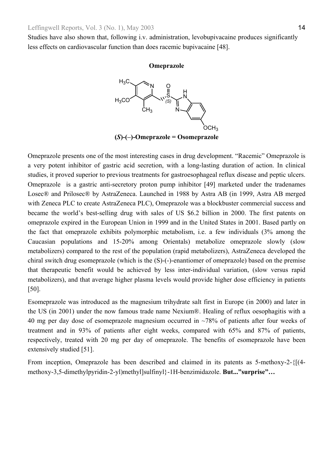Studies have also shown that, following i.v. administration, levobupivacaine produces significantly less effects on cardiovascular function than does racemic bupivacaine [[48\]](#page-26-5).

#### **Omeprazole**



**(***S***)-(–)-Omeprazole = Osomeprazole** 

Omeprazole presents one of the most interesting cases in drug development. "Racemic" Omeprazole is a very potent inhibitor of gastric acid secretion, with a long-lasting duration of action. In clinical studies, it proved superior to previous treatments for gastroesophageal reflux disease and peptic ulcers. Omeprazole is a gastric anti-secretory proton pump inhibitor [\[49\]](#page-26-41) marketed under the tradenames Losec® and Prilosec® by AstraZeneca. Launched in 1988 by Astra AB (in 1999, Astra AB merged with Zeneca PLC to create AstraZeneca PLC), Omeprazole was a blockbuster commercial success and became the world's best-selling drug with sales of US \$6.2 billion in 2000. The first patents on omeprazole expired in the European Union in 1999 and in the United States in 2001. Based partly on the fact that omeprazole exhibits polymorphic metabolism, i.e. a few individuals (3% among the Caucasian populations and 15-20% among Orientals) metabolize omeprazole slowly (slow metabolizers) compared to the rest of the population (rapid metabolizers), AstraZeneca developed the chiral switch drug esomeprazole (which is the (S)-(-)-enantiomer of omeprazole) based on the premise that therapeutic benefit would be achieved by less inter-individual variation, (slow versus rapid metabolizers), and that average higher plasma levels would provide higher dose efficiency in patients [\[50\]](#page-26-42).

Esomeprazole was introduced as the magnesium trihydrate salt first in Europe (in 2000) and later in the US (in 2001) under the now famous trade name Nexium®. Healing of reflux oesophagitis with a 40 mg per day dose of esomeprazole magnesium occurred in ~78% of patients after four weeks of treatment and in 93% of patients after eight weeks, compared with 65% and 87% of patients, respectively, treated with 20 mg per day of omeprazole. The benefits of esomeprazole have been extensively studied [\[51\]](#page-26-43).

From inception, Omeprazole has been described and claimed in its patents as 5-methoxy-2-{[(4 methoxy-3,5-dimethylpyridin-2-yl)methyl]sulfinyl}-1H-benzimidazole. **But..."surprise"…**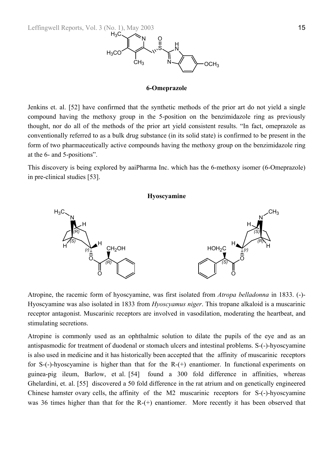

#### **6-Omeprazole**

Jenkins et. al. [[52\]](#page-26-26) have confirmed that the synthetic methods of the prior art do not yield a single compound having the methoxy group in the 5-position on the benzimidazole ring as previously thought, nor do all of the methods of the prior art yield consistent results. "In fact, omeprazole as conventionally referred to as a bulk drug substance (in its solid state) is confirmed to be present in the form of two pharmaceutically active compounds having the methoxy group on the benzimidazole ring at the 6- and 5-positions".

This discovery is being explored by aaiPharma Inc. which has the 6-methoxy isomer (6-Omeprazole) in pre-clinical studies [\[53\]](#page-26-6).

#### **Hyoscyamine**



Atropine, the racemic form of hyoscyamine, was first isolated from *Atropa belladonna* in 1833. (-)- Hyoscyamine was also isolated in 1833 from *Hyoscyamus niger*. This tropane alkaloid is a muscarinic receptor antagonist. Muscarinic receptors are involved in vasodilation, moderating the heartbeat, and stimulating secretions.

Atropine is commonly used as an ophthalmic solution to dilate the pupils of the eye and as an antispasmodic for treatment of duodenal or stomach ulcers and intestinal problems. S-(-)-hyoscyamine is also used in medicine and it has historically been accepted that the affinity of muscarinic receptors for S-(-)-hyoscyamine is higher than that for the R-(+) enantiomer. In functional experiments on guinea-pig ileum, Barlow, et al. [\[54\]](#page-26-29) found a 300 fold difference in affinities, whereas Ghelardini, et. al. [[55\]](#page-26-44) discovered a 50 fold difference in the rat atrium and on genetically engineered Chinese hamster ovary cells, the affinity of the M2 muscarinic receptors for S-(-)-hyoscyamine was 36 times higher than that for the R-(+) enantiomer. More recently it has been observed that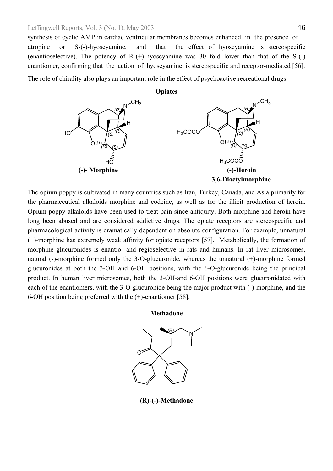synthesis of cyclic AMP in cardiac ventricular membranes becomes enhanced in the presence of atropine or S-(-)-hyoscyamine, and that the effect of hyoscyamine is stereospecific (enantioselective). The potency of  $R-(+)$ -hyoscyamine was 30 fold lower than that of the S- $(-)$ enantiomer, confirming that the action of hyoscyamine is stereospecific and receptor-mediated [\[56\]](#page-26-13).

The role of chirality also plays an important role in the effect of psychoactive recreational drugs.



The opium poppy is cultivated in many countries such as Iran, Turkey, Canada, and Asia primarily for the pharmaceutical alkaloids morphine and codeine, as well as for the illicit production of heroin. Opium poppy alkaloids have been used to treat pain since antiquity. Both morphine and heroin have long been abused and are considered addictive drugs. The opiate receptors are stereospecific and pharmacological activity is dramatically dependent on absolute configuration. For example, unnatural (+)-morphine has extremely weak affinity for opiate receptors [\[57\]](#page-26-45). Metabolically, the formation of morphine glucuronides is enantio- and regioselective in rats and humans. In rat liver microsomes, natural (-)-morphine formed only the 3-O-glucuronide, whereas the unnatural (+)-morphine formed glucuronides at both the 3-OH and 6-OH positions, with the 6-O-glucuronide being the principal product. In human liver microsomes, both the 3-OH-and 6-OH positions were glucuronidated with each of the enantiomers, with the 3-O-glucuronide being the major product with (-)-morphine, and the 6-OH position being preferred with the (+)-enantiomer [\[58\]](#page-26-46).

**Methadone** 



**(R)-(-)-Methadone**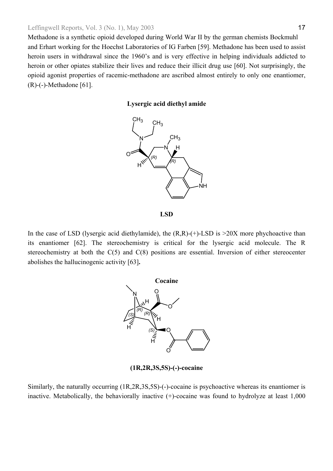Methadone is a synthetic opioid developed during World War II by the german chemists Bockmuhl and Erhart working for the Hoechst Laboratories of IG Farben [[59\]](#page-26-5). Methadone has been used to assist heroin users in withdrawal since the 1960's and is very effective in helping individuals addicted to heroin or other opiates stabilize their lives and reduce their illicit drug use [\[60\]](#page-26-13). Not surprisingly, the opioid agonist properties of racemic-methadone are ascribed almost entirely to only one enantiomer, (R)-(-)-Methadone [\[61\]](#page-26-8).

# **Lysergic acid diethyl amide**



**LSD** 

In the case of LSD (lysergic acid diethylamide), the  $(R,R)-(+)$ -LSD is  $>20X$  more phychoactive than its enantiomer [\[62\]](#page-26-47). The stereochemistry is critical for the lysergic acid molecule. The R stereochemistry at both the C(5) and C(8) positions are essential. Inversion of either stereocenter abolishes the hallucinogenic activity [[63\]](#page-26-48)**.** 



**(1R,2R,3S,5S)-(-)-cocaine** 

Similarly, the naturally occurring (1R,2R,3S,5S)-(-)-cocaine is psychoactive whereas its enantiomer is inactive. Metabolically, the behaviorally inactive (+)-cocaine was found to hydrolyze at least 1,000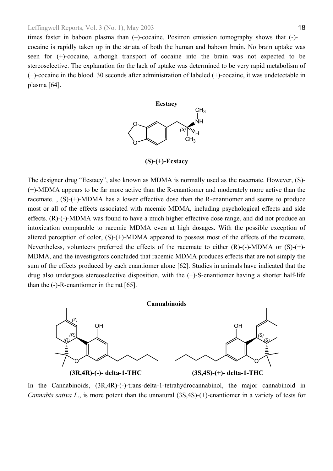times faster in baboon plasma than (–)-cocaine. Positron emission tomography shows that (-) cocaine is rapidly taken up in the striata of both the human and baboon brain. No brain uptake was seen for (+)-cocaine, although transport of cocaine into the brain was not expected to be stereoselective. The explanation for the lack of uptake was determined to be very rapid metabolism of (+)-cocaine in the blood. 30 seconds after administration of labeled (+)-cocaine, it was undetectable in plasma [[64\]](#page-26-8).



**(S)-(+)-Ecstacy**

The designer drug "Ecstacy", also known as MDMA is normally used as the racemate. However, (S)- (+)-MDMA appears to be far more active than the R-enantiomer and moderately more active than the racemate. , (S)-(+)-MDMA has a lower effective dose than the R-enantiomer and seems to produce most or all of the effects associated with racemic MDMA, including psychological effects and side effects. (R)-(-)-MDMA was found to have a much higher effective dose range, and did not produce an intoxication comparable to racemic MDMA even at high dosages. With the possible exception of altered perception of color, (S)-(+)-MDMA appeared to possess most of the effects of the racemate. Nevertheless, volunteers preferred the effects of the racemate to either (R)-(-)-MDMA or (S)-(+)- MDMA, and the investigators concluded that racemic MDMA produces effects that are not simply the sum of the effects produced by each enantiomer alone [62]. Studies in animals have indicated that the drug also undergoes stereoselective disposition, with the (+)-S-enantiomer having a shorter half-life than the (-)-R-enantiomer in the rat [[65\]](#page-26-49).



In the Cannabinoids, (3R,4R)-(-)-trans-delta-1-tetrahydrocannabinol, the major cannabinoid in *Cannabis sativa L.*, is more potent than the unnatural (3S,4S)-(+)-enantiomer in a variety of tests for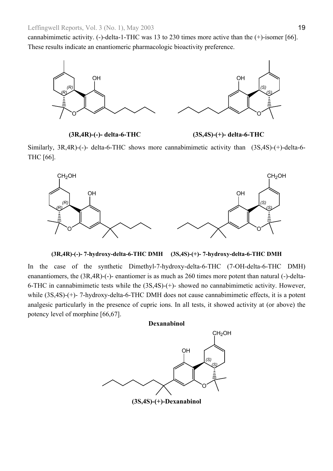cannabimimetic activity. (-)-delta-1-THC was 13 to 230 times more active than the (+)-isomer [66[\].](#page-26-50)  These results indicate an enantiomeric pharmacologic bioactivity preference.



**(3R,4R)-(-)- delta-6-THC (3S,4S)-(+)- delta-6-THC** 

Similarly, 3R,4R)-(-)- delta-6-THC shows more cannabimimetic activity than (3S,4S)-(+)-delta-6- THC [66].



**(3R,4R)-(-)- 7-hydroxy-delta-6-THC DMH (3S,4S)-(+)- 7-hydroxy-delta-6-THC DMH**

In the case of the synthetic Dimethyl-7-hydroxy-delta-6-THC (7-OH-delta-6-THC DMH) enanantiomers, the (3R,4R)-(-)- enantiomer is as much as 260 times more potent than natural (-)-delta-6-THC in cannabimimetic tests while the (3S,4S)-(+)- showed no cannabimimetic activity. However, while (3S,4S)-(+)- 7-hydroxy-delta-6-THC DMH does not cause cannabimimetic effects, it is a potent analgesic particularly in the presence of cupric ions. In all tests, it showed activity at (or above) the potency level of morphine [66,[67\]](#page-26-51).

# **Dexanabinol**



**(3S,4S)-(+)-Dexanabinol**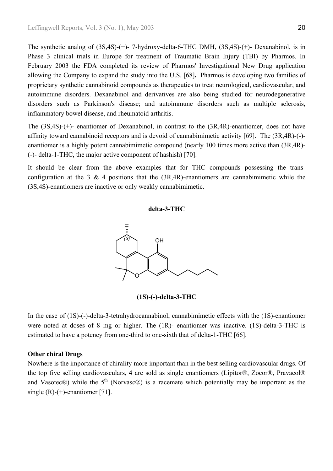The synthetic analog of (3S,4S)-(+)- 7-hydroxy-delta-6-THC DMH, (3S,4S)-(+)- Dexanabinol, is in Phase 3 clinical trials in Europe for treatment of Traumatic Brain Injury (TBI) by Pharmos. In February 2003 the FDA completed its review of Pharmos' Investigational New Drug application allowing the Company to expand the study into the U.S. [\[68\]](#page-26-14)**.** Pharmos is developing two families of proprietary synthetic cannabinoid compounds as therapeutics to treat neurological, cardiovascular, and autoimmune disorders. Dexanabinol and derivatives are also being studied for neurodegenerative disorders such as Parkinson's disease; and autoimmune disorders such as multiple sclerosis, inflammatory bowel disease, and rheumatoid arthritis.

The (3S,4S)-(+)- enantiomer of Dexanabinol, in contrast to the (3R,4R)-enantiomer, does not have affinity toward cannabinoid receptors and is devoid of cannabimimetic activity [[69\]](#page-26-52). The (3R,4R)-(-) enantiomer is a highly potent cannabimimetic compound (nearly 100 times more active than (3R,4R)- (-)- delta-1-THC, the major active component of hashish) [\[70\]](#page-26-53).

It should be clear from the above examples that for THC compounds possessing the transconfiguration at the 3  $\&$  4 positions that the (3R,4R)-enantiomers are cannabimimetic while the (3S,4S)-enantiomers are inactive or only weakly cannabimimetic.

# **delta-3-THC**



**(1S)-(-)-delta-3-THC**

In the case of (1S)-(-)-delta-3-tetrahydrocannabinol, cannabimimetic effects with the (1S)-enantiomer were noted at doses of 8 mg or higher. The (1R)- enantiomer was inactive. (1S)-delta-3-THC is estimated to have a potency from one-third to one-sixth that of delta-1-THC [66].

### **Other chiral Drugs**

Nowhere is the importance of chirality more important than in the best selling cardiovascular drugs. Of the top five selling cardiovasculars, 4 are sold as single enantiomers (Lipitor®, Zocor®, Pravacol® and Vasotec®) while the  $5<sup>th</sup>$  (Norvasc®) is a racemate which potentially may be important as the single  $(R)-(+)$ -enantiomer [\[71\]](#page-26-54).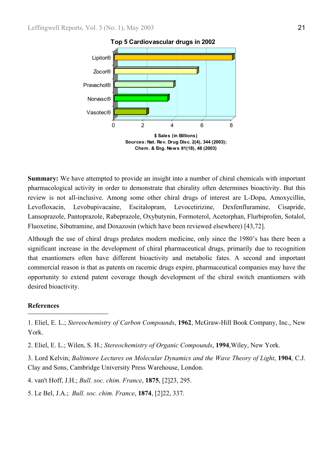

**Top 5 Cardiovascular drugs in 2002**

**Summary:** We have attempted to provide an insight into a number of chiral chemicals with important pharmacological activity in order to demonstrate that chirality often determines bioactivity. But this review is not all-inclusive. Among some other chiral drugs of interest are L-Dopa, Amoxycillin, Levofloxacin, Levobupivacaine, Escitalopram, Levocetirizine, Dexfenfluramine, Cisapride, Lansoprazole, Pantoprazole, Rabeprazole, Oxybutynin, Formoterol, Acetorphan, Flurbiprofen, Sotalol, Fluoxetine, Sibutramine, and Doxazosin (which have been reviewed elsewhere) [43[,72\]](#page-26-55).

Although the use of chiral drugs predates modern medicine, only since the 1980's has there been a significant increase in the development of chiral pharmaceutical drugs, primarily due to recognition that enantiomers often have different bioactivity and metabolic fates. A second and important commercial reason is that as patents on racemic drugs expire, pharmaceutical companies may have the opportunity to extend patent coverage though development of the chiral switch enantiomers with desired bioactivity.

# **References**

l

2. Eliel, E. L.; Wilen, S. H.; *Stereochemistry of Organic Compounds*, **1994**,Wiley, New York.

3. Lord Kelvin; *Baltimore Lectures on Molecular Dynamics and the Wave Theory of Light*, **1904**, C.J. Clay and Sons, Cambridge University Press Warehouse, London.

4. van't Hoff, J.H.; *Bull. soc. chim. France*, **1875**, [2]23, 295.

5. Le Bel, J.A.; *Bull. soc. chim. France*, **1874**, [2]22, 337.

<sup>1.</sup> Eliel, E. L.; *Stereochemistry of Carbon Compounds*, **1962**, McGraw-Hill Book Company, Inc., New York.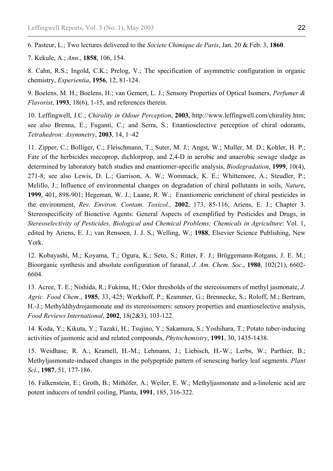6. Pasteur, L.; Two lectures delivered to the *Societe Chimique de Paris*, Jan. 20 & Feb. 3, **1860**.

7. Kekule, A.; *Ann*., **1858**, 106, 154.

l

8. Cahn, R.S.; Ingold, C.K.; Prelog, V.; The specification of asymmetric configuration in organic chemistry, *Experientia*, **1956**, 12, 81-124.

9. Boelens, M. H.; Boelens, H.; van Gemert, L. J.; Sensory Properties of Optical Isomers, *Perfumer & Flavorist*, **1993**, 18(6), 1-15, and references therein.

10. Leffingwell, J.C.; *Chirality in Odour Perception*, **2003**, http://www.leffingwell.com/chirality.htm; see also Brenna, E.; Fuganti, C.; and Serra, S.; Enantioselective perception of chiral odorants, *Tetrahedron: Asymmetry*, **2003**, 14, 1–42

11. Zipper, C.; Bolliger, C.; Fleischmann, T.; Suter, M. J.; Angst, W.; Muller, M. D.; Kohler, H. P.; Fate of the herbicides mecoprop, dichlorprop, and 2,4-D in aerobic and anaerobic sewage sludge as determined by laboratory batch studies and enantiomer-specific analysis, *Biodegradation*, **1999**, 10(4), 271-8; see also Lewis, D. L.; Garrison, A. W.; Wommack, K. E.; Whittemore, A.; Steudler, P.; Melillo, J.; Influence of environmental changes on degradation of chiral pollutants in soils, *Natur*e, **1999**, 401, 898-901; Hegeman, W. J.; Laane, R. W.; Enantiomeric enrichment of chiral pesticides in the environment, *Rev. Environ. Contam. Toxicol.,* **2002**, 173, 85-116; Ariens, E. J.; Chapter 3. Stereospecificity of Bioactive Agents: General Aspects of exemplified by Pesticides and Drugs, in *Stereoselectivity of Pesticides, Biological and Chemical Problems; Chemicals in Agriculture*: Vol. 1, edited by Ariens, E. J.; van Rensoen, J. J. S.; Welling, W.; **1988**, Elsevier Science Publishing, New York.

12. Kobayashi, M.; Koyama, T.; Ogura, K.; Seto, S.; Ritter, F. J.; Brüggemann-Rotgans, J. E. M.; Bioorganic synthesis and absolute configuration of faranal, *J. Am. Chem. Soc*., **1980**, 102(21), 6602- 6604.

13. Acree, T. E.; Nishida, R.; Fukima, H.; Odor thresholds of the stereoisomers of methyl jasmonate, *J. Agric. Food Chem*., **1985**, 33, 425; Werkhoff, P.; Krammer, G.; Brennecke, S.; Roloff, M.; Bertram, H.-J.; Methyldihydrojasmonate and its stereoisomers: sensory properties and enantioselective analysis, *Food Reviews International*, **2002**, 18(2&3), 103-122.

14. Koda, Y.; Kikuta, Y.; Tazaki, H.; Tsujino, Y.; Sakamura, S.; Yoshihara, T.; Potato tuber-inducing activities of jasmonic acid and related compounds, *Phytochemistry*, **1991**, 30, 1435-1438.

15. Weidhase, R. A.; Kramell, H.-M.; Lehmann, J.; Liebisch, H.-W.; Lerbs, W.; Parthier, B.; Methyljasmonate-induced changes in the polypeptide pattern of senescing barley leaf segments. *Plant Sci.*, **1987**, 51, 177-186.

16. Falkenstein, E.; Groth, B.; Mithöfer, A.; Weiler, E. W.; Methyljasmonate and a-linolenic acid are potent inducers of tendril coiling, Planta, **1991**, 185, 316-322.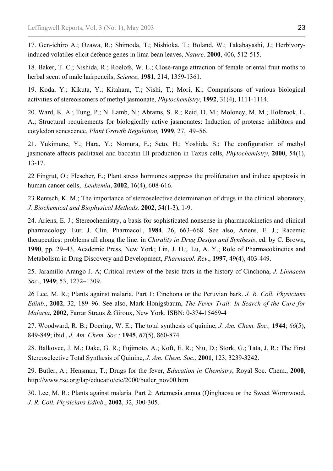17. Gen-ichiro A.; Ozawa, R.; Shimoda, T.; Nishioka, T.; Boland, W.; Takabayashi, J.; Herbivoryinduced volatiles elicit defence genes in lima bean leaves, *Nature,* **2000**, 406, 512-515.

18. Baker, T. C.; Nishida, R.; Roelofs, W. L.; Close-range attraction of female oriental fruit moths to herbal scent of male hairpencils, *Science*, **1981**, 214, 1359-1361.

19. Koda, Y.; Kikuta, Y.; Kitahara, T.; Nishi, T.; Mori, K.; Comparisons of various biological activities of stereoisomers of methyl jasmonate, *Phytochemistry*, **1992**, 31(4), 1111-1114.

20. Ward, K. A.; Tung, P.; N. Lamb, N.; Abrams, S. R.; Reid, D. M.; Moloney, M. M.; Holbrook, L. A.; Structural requirements for biologically active jasmonates: Induction of protease inhibitors and cotyledon senescence, *Plant Growth Regulation,* **1999**, 27, 49–56.

21. Yukimune, Y.; Hara, Y.; Nomura, E.; Seto, H.; Yoshida, S.; The configuration of methyl jasmonate affects paclitaxel and baccatin III production in Taxus cells, *Phytochemistry*, **2000**, 54(1), 13-17.

22 Fingrut, O.; Flescher, E.; Plant stress hormones suppress the proliferation and induce apoptosis in human cancer cells, *Leukemia*, **2002**, 16(4), 608-616.

23 Rentsch, K. M.; The importance of stereoselective determination of drugs in the clinical laboratory, *J. Biochemical and Biophysical Methods,* **2002**, 54(1-3), 1-9.

24. Ariens, E. J.; Stereochemistry, a basis for sophisticated nonsense in pharmacokinetics and clinical pharmacology. Eur. J. Clin. Pharmacol., **1984**, 26, 663–668. See also, Ariens, E. J.; Racemic therapeutics: problems all along the line. in *Chirality in Drug Design and Synthesis*, ed. by C. Brown, **1990**, pp. 29–43, Academic Press, New York; Lin, J. H.;. Lu, A. Y.; Role of Pharmacokinetics and Metabolism in Drug Discovery and Development, *Pharmacol. Rev*., **1997**, 49(4), 403-449.

25. Jaramillo-Arango J. A; Critical review of the basic facts in the history of Cinchona, *J. Linnaean Soc*., **1949**; 53, 1272–1309.

26 Lee, M. R.; Plants against malaria. Part 1: Cinchona or the Peruvian bark. *J. R. Coll. Physicians Edinb.*, **2002**, 32, 189–96. See also, Mark Honigsbaum, *The Fever Trail: In Search of the Cure for Malaria*, **2002**, Farrar Straus & Giroux, New York. ISBN: 0-374-15469-4

27. Woodward, R. B.; Doering, W. E.; The total synthesis of quinine, *J. Am. Chem. Soc.,* **1944**; *66*(5), 849-849; ibid., *J. Am. Chem. Soc.;* **1945**, *67*(5), 860-874.

28. Balkovec, J. M.; Dake, G. R.; Fujimoto, A.; Koft, E. R.; Niu, D.; Stork, G.; Tata, J. R.; The First Stereoselective Total Synthesis of Quinine, *J. Am. Chem. Soc.,* **2001**, 123, 3239-3242.

29. Butler, A.; Hensman, T.; Drugs for the fever, *Education in Chemistry*, Royal Soc. Chem., **2000**, http://www.rsc.org/lap/educatio/eic/2000/butler\_nov00.htm

30. Lee, M. R.; Plants against malaria. Part 2: Artemesia annua (Qinghaosu or the Sweet Wormwood, *J. R. Coll. Physicians Edinb*., **2002**, 32, 300-305.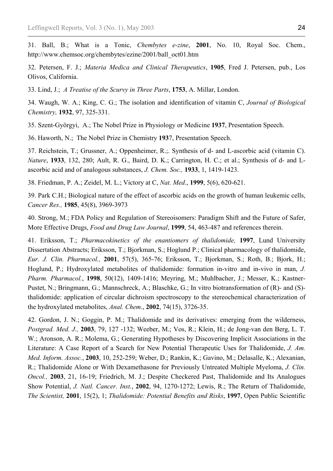31. Ball, B.; What is a Tonic, *Chembytes e-zine*, **2001**, No. 10, Royal Soc. Chem., http://www.chemsoc.org/chembytes/ezine/2001/ball\_oct01.htm

32. Petersen, F. J.; *Materia Medica and Clinical Therapeutics*, **1905**, Fred J. Petersen, pub., Los Olivos, California.

33. Lind, J.; *A Treatise of the Scurvy in Three Parts*, **1753**, A. Millar, London.

34. Waugh, W. A.; King, C. G.; The isolation and identification of vitamin C, *Journal of Biological Chemistry,* **1932**, 97, 325-331.

35. Szent-Györgyi, A.; The Nobel Prize in Physiology or Medicine **1937**, Presentation Speech.

36. Haworth, N.; The Nobel Prize in Chemistry **193**7, Presentation Speech.

37. Reichstein, T.; Grussner, A.; Oppenheimer, R.;. Synthesis of d- and L-ascorbic acid (vitamin C). *Nature*, **1933**, 132, 280; Ault, R. G., Baird, D. K.; Carrington, H. C.; et al.; Synthesis of d- and Lascorbic acid and of analogous substances, *J. Chem. Soc.,* **1933**, 1, 1419-1423.

38. Friedman, P. A.; Zeidel, M. L.; Victory at C, *Nat. Med*., **1999**, 5(6), 620-621.

39. Park C.H.; Biological nature of the effect of ascorbic acids on the growth of human leukemic cells, *Cancer Res.,* **1985**, 45(8), 3969-3973

40. Strong, M.; FDA Policy and Regulation of Stereoisomers: Paradigm Shift and the Future of Safer, More Effective Drugs, *Food and Drug Law Journal*, **1999**, 54, 463-487 and references therein.

41. Eriksson, T.; *Pharmacokinetics of the enantiomers of thalidomide,* **1997**, Lund University Dissertation Abstracts; Eriksson, T.; Bjorkman, S.; Hoglund P.; Clinical pharmacology of thalidomide, *Eur. J. Clin. Pharmacol.,* **2001**, 57(5), 365-76; Eriksson, T.; Bjorkman, S.; Roth, B.; Bjork, H.; Hoglund, P.; Hydroxylated metabolites of thalidomide: formation in-vitro and in-vivo in man, *J. Pharm. Pharmacol.*, **1998**, 50(12), 1409-1416; Meyring, M.; Muhlbacher, J.; Messer, K.; Kastner-Pustet, N.; Bringmann, G.; Mannschreck, A.; Blaschke, G.; In vitro biotransformation of (R)- and (S)thalidomide: application of circular dichroism spectroscopy to the stereochemical characterization of the hydroxylated metabolites, *Anal. Chem*., **2002**, 74(15), 3726-35.

42. Gordon, J. N.; Goggin, P. M.; Thalidomide and its derivatives: emerging from the wilderness, *Postgrad. Med. J.,* **2003**, 79, 127 -132; Weeber, M.; Vos, R.; Klein, H.; de Jong-van den Berg, L. T. W.; Aronson, A. R.; Molema, G.; Generating Hypotheses by Discovering Implicit Associations in the Literature: A Case Report of a Search for New Potential Therapeutic Uses for Thalidomide, *J. Am. Med. Inform. Assoc.*, **2003**, 10, 252-259; Weber, D.; Rankin, K.; Gavino, M.; Delasalle, K.; Alexanian, R.; Thalidomide Alone or With Dexamethasone for Previously Untreated Multiple Myeloma, *J. Clin. Oncol.,* **2003**, 21, 16-19; Friedrich, M. J.; Despite Checkered Past, Thalidomide and Its Analogues Show Potential, *J. Natl. Cancer. Inst.*, **2002**, 94, 1270-1272; Lewis, R.; The Return of Thalidomide, *The Scientist,* **2001**, 15(2), 1; *Thalidomide: Potential Benefits and Risks*, **1997**, Open Public Scientific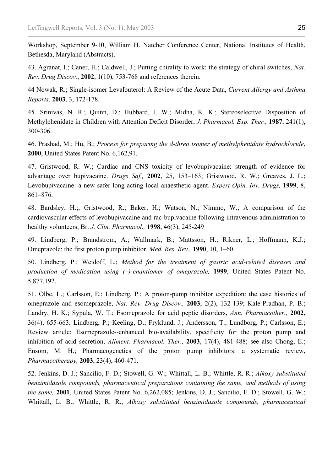Workshop, September 9-10, William H. Natcher Conference Center, National Institutes of Health, Bethesda, Maryland (Abstracts).

43. Agranat, I.; Caner, H.; Caldwell, J.; Putting chirality to work: the strategy of chiral switches, *Nat. Rev. Drug Discov.*, **2002**, 1(10), 753-768 and references therein.

44 Nowak, R.; Single-isomer Levalbuterol: A Review of the Acute Data, *Current Allergy and Asthma Reports,* **2003**, 3, 172-178.

45. Srinivas, N. R.; Quinn, D.; Hubbard, J. W.; Midha, K. K.; Stereoselective Disposition of Methylphenidate in Children with Attention Deficit Disorder, *J. Pharmacol. Exp. Ther.,* **1987**, 241(1), 300-306.

46. Prashad, M.; Hu, B.; *Process for preparing the d-threo isomer of methylphenidate hydrochloride*, **2000**, United States Patent No. 6,162,91.

47. Gristwood, R. W.; Cardiac and CNS toxicity of levobupivacaine: strength of evidence for advantage over bupivacaine. *Drugs Saf.,* **2002**, 25, 153–163; Gristwood, R. W.; Greaves, J. L.; Levobupivacaine: a new safer long acting local anaesthetic agent. *Expert Opin. Inv. Drugs,* **1999**, 8, 861–876.

48. Bardsley, H.;, Gristwood, R.; Baker, H.; Watson, N.; Nimmo, W.; A comparison of the cardiovascular effects of levobupivacaine and rac-bupivacaine following intravenous administration to healthy volunteers, Br. *J. Clin. Pharmacol.,* **1998**, 46(3), 245-249

49. Lindberg, P.; Brandstrom, A.; Wallmark, B.; Mattsson, H.; Rikner, L.; Hoffmann, K.J.; Omeprazole: the first proton pump inhibitor. *Med. Res. Rev.,* **1990**, 10, 1–60.

50. Lindberg, P.; Weidoff, L.; *Method for the treatment of gastric acid-related diseases and production of medication using (–)-enantiomer of omeprazole,* **1999**, United States Patent No. 5,877,192.

51. Olbe, L.; Carlsson, E.; Lindberg, P.; A proton-pump inhibitor expedition: the case histories of omeprazole and esomeprazole, *Nat. Rev. Drug Discov.,* **2003**, 2(2), 132-139; Kale-Pradhan, P. B.; Landry, H. K.; Sypula, W. T.; Esomeprazole for acid peptic disorders, *Ann. Pharmacother.,* **2002**, 36(4), 655-663; Lindberg, P.; Keeling, D.; Fryklund, J.; Andersson, T.; Lundborg, P.; Carlsson, E.; Review article: Esomeprazole--enhanced bio-availability, specificity for the proton pump and inhibition of acid secretion, *Aliment. Pharmacol. Ther.,* **2003**, 17(4), 481-488; see also Chong, E.; Ensom, M. H.; Pharmacogenetics of the proton pump inhibitors: a systematic review, *Pharmacotherapy,* **2003**, 23(4), 460-471.

52. Jenkins, D. J.; Sancilio, F. D.; Stowell, G. W.; Whittall, L. B.; Whittle, R. R.; *Alkoxy substituted benzimidazole compounds, pharmaceutical preparations containing the same, and methods of using the same,* **2001**, United States Patent No. 6,262,085; Jenkins, D. J.; Sancilio, F. D.; Stowell, G. W.; Whittall, L. B.; Whittle, R. R.; *Alkoxy substituted benzimidazole compounds, pharmaceutical*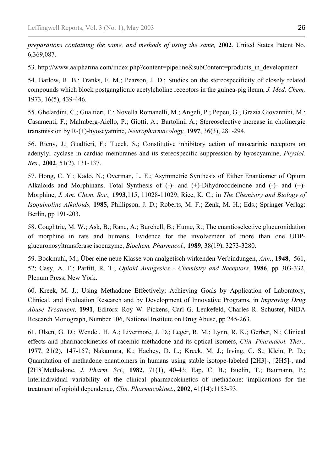*preparations containing the same, and methods of using the same,* **2002**, United States Patent No. 6,369,087.

53. http://www.aaipharma.com/index.php?content=pipeline&subContent=products\_in\_development

54. Barlow, R. B.; Franks, F. M.; Pearson, J. D.; Studies on the stereospecificity of closely related compounds which block postganglionic acetylcholine receptors in the guinea-pig ileum, *J. Med. Chem,* 1973, 16(5), 439-446.

55. Ghelardini, C.; Gualtieri, F.; Novella Romanelli, M.; Angeli, P.; Pepeu, G.; Grazia Giovannini, M.; Casamenti, F.; Malmberg-Aiello, P.; Giotti, A.; Bartolini, A.; Stereoselective increase in cholinergic transmission by R-(+)-hyoscyamine, *Neuropharmacology,* **1997**, 36(3), 281-294.

56. Ricny, J.; Gualtieri, F.; Tucek, S.; Constitutive inhibitory action of muscarinic receptors on adenylyl cyclase in cardiac membranes and its stereospecific suppression by hyoscyamine, *Physiol. Res.,* **2002**, 51(2), 131-137.

57. Hong, C. Y.; Kado, N.; Overman, L. E.; Asymmetric Synthesis of Either Enantiomer of Opium Alkaloids and Morphinans. Total Synthesis of (-)- and (+)-Dihydrocodeinone and (-)- and (+)- Morphine, *J. Am. Chem. Soc.,* **1993**,115, 11028-11029; Rice, K. C.; in *The Chemistry and Biology of Isoquinoline Alkaloids,* **1985**, Phillipson, J. D.; Roberts, M. F.; Zenk, M. H.; Eds.; Springer-Verlag: Berlin, pp 191-203.

58. Coughtrie, M. W.; Ask, B.; Rane, A.; Burchell, B.; Hume, R.; The enantioselective glucuronidation of morphine in rats and humans. Evidence for the involvement of more than one UDPglucuronosyltransferase isoenzyme, *Biochem. Pharmacol.,* **1989**, 38(19), 3273-3280.

59. Bockmuhl, M.; Über eine neue Klasse von analgetisch wirkenden Verbindungen, *Ann.*, **1948**, 561, 52; Casy, A. F.; Parfitt, R. T.; *Opioid Analgesics - Chemistry and Receptors*, **1986**, pp 303-332, Plenum Press, New York.

60. Kreek, M. J.; Using Methadone Effectively: Achieving Goals by Application of Laboratory, Clinical, and Evaluation Research and by Development of Innovative Programs, in *Improving Drug Abuse Treatment,* **1991**, Editors: Roy W. Pickens, Carl G. Leukefeld, Charles R. Schuster, NIDA Research Monograph, Number 106, National Institute on Drug Abuse, pp 245-263.

61. Olsen, G. D.; Wendel, H. A.; Livermore, J. D.; Leger, R. M.; Lynn, R. K.; Gerber, N.; Clinical effects and pharmacokinetics of racemic methadone and its optical isomers, *Clin. Pharmacol. Ther.,* **1977**, 21(2), 147-157; Nakamura, K.; Hachey, D. L.; Kreek, M. J.; Irving, C. S.; Klein, P. D.; Quantitation of methadone enantiomers in humans using stable isotope-labeled [2H3]-, [2H5]-, and [2H8]Methadone, *J. Pharm. Sci.,* **1982**, 71(1), 40-43; Eap, C. B.; Buclin, T.; Baumann, P.; Interindividual variability of the clinical pharmacokinetics of methadone: implications for the treatment of opioid dependence, *Clin. Pharmacokinet.*, **2002**, 41(14):1153-93.